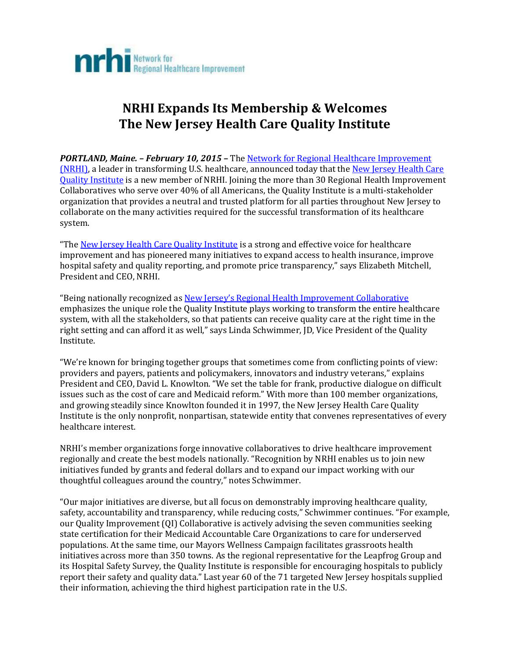

# **NRHI Expands Its Membership & Welcomes The New Jersey Health Care Quality Institute**

*PORTLAND, Maine. – February 10, 2015 –* The [Network for Regional Healthcare Improvement](http://www.nrhi.org/?Feb102015) [\(NRHI\),](http://www.nrhi.org/?Feb102015) a leader in transforming U.S. healthcare, announced today that the [New Jersey Health Care](http://www.njhcqi.org/?Feb102015)  [Quality Institute](http://www.njhcqi.org/?Feb102015) is a new member of NRHI. Joining the more than 30 Regional Health Improvement Collaboratives who serve over 40% of all Americans, the Quality Institute is a multi-stakeholder organization that provides a neutral and trusted platform for all parties throughout New Jersey to collaborate on the many activities required for the successful transformation of its healthcare system.

"Th[e New Jersey Health Care Quality Institute](http://www.njhcqi.org/?Feb102015) is a strong and effective voice for healthcare improvement and has pioneered many initiatives to expand access to health insurance, improve hospital safety and quality reporting, and promote price transparency," says Elizabeth Mitchell, President and CEO, NRHI.

"Being nationally recognized as New Jersey's [Regional Health Improvement Collaborative](http://www.njhcqi.org/?Feb102015) emphasizes the unique role the Quality Institute plays working to transform the entire healthcare system, with all the stakeholders, so that patients can receive quality care at the right time in the right setting and can afford it as well," says Linda Schwimmer, JD, Vice President of the Quality Institute.

"We're known for bringing together groups that sometimes come from conflicting points of view: providers and payers, patients and policymakers, innovators and industry veterans," explains President and CEO, David L. Knowlton. "We set the table for frank, productive dialogue on difficult issues such as the cost of care and Medicaid reform." With more than 100 member organizations, and growing steadily since Knowlton founded it in 1997, the New Jersey Health Care Quality Institute is the only nonprofit, nonpartisan, statewide entity that convenes representatives of every healthcare interest.

NRHI's member organizations forge innovative collaboratives to drive healthcare improvement regionally and create the best models nationally. "Recognition by NRHI enables us to join new initiatives funded by grants and federal dollars and to expand our impact working with our thoughtful colleagues around the country," notes Schwimmer.

"Our major initiatives are diverse, but all focus on demonstrably improving healthcare quality, safety, accountability and transparency, while reducing costs," Schwimmer continues. "For example, our Quality Improvement (QI) Collaborative is actively advising the seven communities seeking state certification for their Medicaid Accountable Care Organizations to care for underserved populations. At the same time, our Mayors Wellness Campaign facilitates grassroots health initiatives across more than 350 towns. As the regional representative for the Leapfrog Group and its Hospital Safety Survey, the Quality Institute is responsible for encouraging hospitals to publicly report their safety and quality data." Last year 60 of the 71 targeted New Jersey hospitals supplied their information, achieving the third highest participation rate in the U.S.